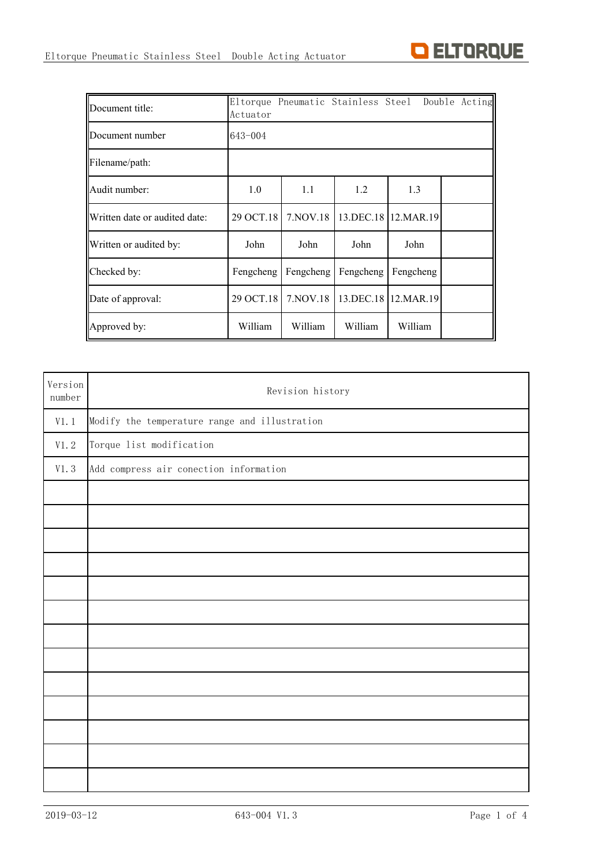

| Document title:               | Actuator  |            |           | Eltorque Pneumatic Stainless Steel Double Acting |  |  |  |  |  |
|-------------------------------|-----------|------------|-----------|--------------------------------------------------|--|--|--|--|--|
| Document number               | 643-004   |            |           |                                                  |  |  |  |  |  |
| Filename/path:                |           |            |           |                                                  |  |  |  |  |  |
| Audit number:                 | 1.0       | 1.1        | 1.2       | 1.3                                              |  |  |  |  |  |
| Written date or audited date: | 29 OCT.18 | 7. NOV. 18 | 13.DEC.18 | 12.MAR.19                                        |  |  |  |  |  |
| Written or audited by:        | John      | John       | John      | John                                             |  |  |  |  |  |
| Checked by:                   | Fengcheng | Fengcheng  | Fengcheng | Fengcheng                                        |  |  |  |  |  |
| Date of approval:             | 29 OCT.18 | 7. NOV. 18 |           | 13.DEC.18 12.MAR.19                              |  |  |  |  |  |
| Approved by:                  | William   | William    | William   | William                                          |  |  |  |  |  |

| Version<br>number | Revision history                              |  |  |  |  |  |  |  |  |
|-------------------|-----------------------------------------------|--|--|--|--|--|--|--|--|
| V1.1              | Modify the temperature range and illustration |  |  |  |  |  |  |  |  |
| V1.2              | Torque list modification                      |  |  |  |  |  |  |  |  |
| V1.3              | Add compress air conection information        |  |  |  |  |  |  |  |  |
|                   |                                               |  |  |  |  |  |  |  |  |
|                   |                                               |  |  |  |  |  |  |  |  |
|                   |                                               |  |  |  |  |  |  |  |  |
|                   |                                               |  |  |  |  |  |  |  |  |
|                   |                                               |  |  |  |  |  |  |  |  |
|                   |                                               |  |  |  |  |  |  |  |  |
|                   |                                               |  |  |  |  |  |  |  |  |
|                   |                                               |  |  |  |  |  |  |  |  |
|                   |                                               |  |  |  |  |  |  |  |  |
|                   |                                               |  |  |  |  |  |  |  |  |
|                   |                                               |  |  |  |  |  |  |  |  |
|                   |                                               |  |  |  |  |  |  |  |  |
|                   |                                               |  |  |  |  |  |  |  |  |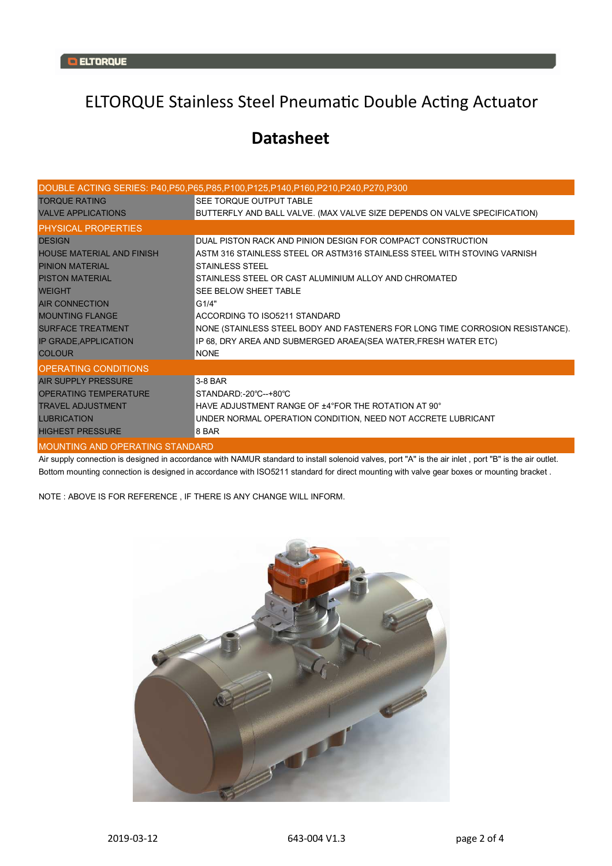## ELTORQUE Stainless Steel Pneumatic Double Acting Actuator

## **Datasheet**

|                                  | DOUBLE ACTING SERIES: P40,P50,P65,P85,P100,P125,P140,P160,P210,P240,P270,P300 |  |  |  |  |  |
|----------------------------------|-------------------------------------------------------------------------------|--|--|--|--|--|
| <b>TORQUE RATING</b>             | <b>SEE TORQUE OUTPUT TABLE</b>                                                |  |  |  |  |  |
| <b>VALVE APPLICATIONS</b>        | BUTTERFLY AND BALL VALVE. (MAX VALVE SIZE DEPENDS ON VALVE SPECIFICATION)     |  |  |  |  |  |
| <b>PHYSICAL PROPERTIES</b>       |                                                                               |  |  |  |  |  |
| <b>DESIGN</b>                    | DUAL PISTON RACK AND PINION DESIGN FOR COMPACT CONSTRUCTION                   |  |  |  |  |  |
| <b>HOUSE MATERIAL AND FINISH</b> | ASTM 316 STAINLESS STEEL OR ASTM316 STAINLESS STEEL WITH STOVING VARNISH      |  |  |  |  |  |
| <b>PINION MATERIAL</b>           | <b>STAINLESS STEEL</b>                                                        |  |  |  |  |  |
| <b>PISTON MATERIAL</b>           | STAINLESS STEEL OR CAST ALUMINIUM ALLOY AND CHROMATED                         |  |  |  |  |  |
| <b>WEIGHT</b>                    | SEE BELOW SHEET TABLE                                                         |  |  |  |  |  |
| <b>AIR CONNECTION</b>            | G1/4"                                                                         |  |  |  |  |  |
| <b>MOUNTING FLANGE</b>           | ACCORDING TO ISO5211 STANDARD                                                 |  |  |  |  |  |
| <b>SURFACE TREATMENT</b>         | NONE (STAINLESS STEEL BODY AND FASTENERS FOR LONG TIME CORROSION RESISTANCE). |  |  |  |  |  |
| <b>IP GRADE, APPLICATION</b>     | IP 68, DRY AREA AND SUBMERGED ARAEA(SEA WATER, FRESH WATER ETC)               |  |  |  |  |  |
| <b>COLOUR</b>                    | <b>NONE</b>                                                                   |  |  |  |  |  |
| <b>OPERATING CONDITIONS</b>      |                                                                               |  |  |  |  |  |
| <b>AIR SUPPLY PRESSURE</b>       | 3-8 BAR                                                                       |  |  |  |  |  |
| <b>OPERATING TEMPERATURE</b>     | STANDARD: -20°C--+80°C                                                        |  |  |  |  |  |
| <b>TRAVEL ADJUSTMENT</b>         | HAVE ADJUSTMENT RANGE OF ±4°FOR THE ROTATION AT 90°                           |  |  |  |  |  |
| <b>LUBRICATION</b>               | UNDER NORMAL OPERATION CONDITION, NEED NOT ACCRETE LUBRICANT                  |  |  |  |  |  |
| <b>HIGHEST PRESSURE</b>          | 8 BAR                                                                         |  |  |  |  |  |
| MOUNTING AND OPERATING STANDARD  |                                                                               |  |  |  |  |  |

Air supply connection is designed in accordance with NAMUR standard to install solenoid valves, port "A" is the air inlet, port "B" is the air outlet. Bottom mounting connection is designed in accordance with ISO5211 standard for direct mounting with valve gear boxes or mounting bracket .

NOTE : ABOVE IS FOR REFERENCE , IF THERE IS ANY CHANGE WILL INFORM.

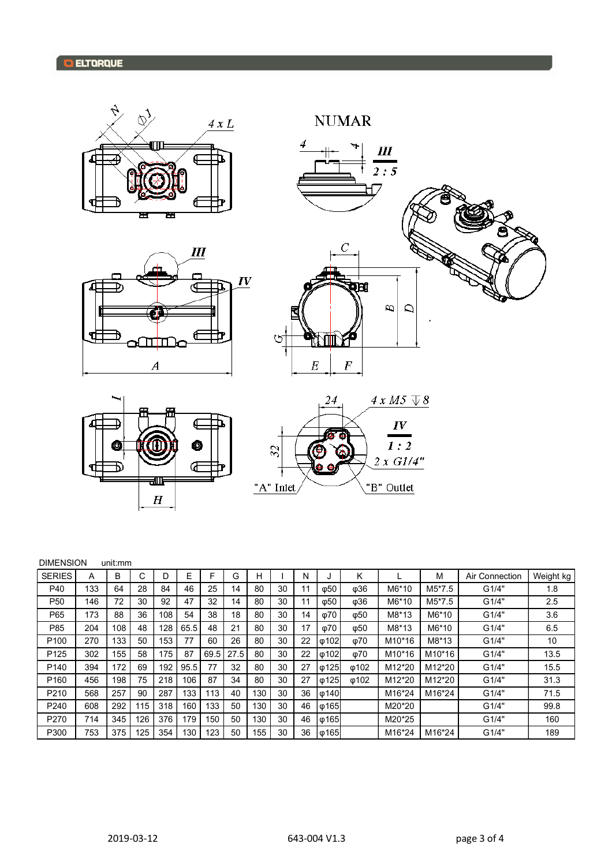









| <b>DIMENSION</b> |     | unit:mm |     |     |      |      |      |     |    |    |                             |             |        |        |                |           |
|------------------|-----|---------|-----|-----|------|------|------|-----|----|----|-----------------------------|-------------|--------|--------|----------------|-----------|
| <b>SERIES</b>    | A   | B       | C   | D   | E    | F    | G    | н   |    | N  |                             | K           |        | M      | Air Connection | Weight kg |
| P40              | 133 | 64      | 28  | 84  | 46   | 25   | 14   | 80  | 30 | 11 | ω50                         | ω36         | M6*10  | M5*7.5 | G1/4"          | 1.8       |
| P <sub>50</sub>  | 146 | 72      | 30  | 92  | 47   | 32   | 14   | 80  | 30 | 11 | $\phi$ 50                   | ω36         | M6*10  | M5*7.5 | G1/4"          | 2.5       |
| P65              | 173 | 88      | 36  | 108 | 54   | 38   | 18   | 80  | 30 | 14 | $\varphi$ 70                | ω50         | M8*13  | M6*10  | G1/4"          | 3.6       |
| P85              | 204 | 108     | 48  | 128 | 65.5 | 48   | 21   | 80  | 30 | 17 | ω70                         | ω50         | M8*13  | M6*10  | G1/4"          | 6.5       |
| P <sub>100</sub> | 270 | 133     | 50  | 153 | 77   | 60   | 26   | 80  | 30 | 22 | $\lvert \phi 102 \rvert$    | ω70         | M10*16 | M8*13  | G1/4"          | 10        |
| P <sub>125</sub> | 302 | 155     | 58  | 175 | 87   | 69.5 | 27.5 | 80  | 30 | 22 | $\phi$ 102                  | ω70         | M10*16 | M10*16 | G1/4"          | 13.5      |
| P <sub>140</sub> | 394 | 172     | 69  | 192 | 95.5 | 77   | 32   | 80  | 30 | 27 | $\phi$ 125                  | $\phi$ 102  | M12*20 | M12*20 | G1/4"          | 15.5      |
| P <sub>160</sub> | 456 | 198     | 75  | 218 | 106  | 87   | 34   | 80  | 30 | 27 | $\lvert \varphi 125 \rvert$ | <b>ω102</b> | M12*20 | M12*20 | G1/4"          | 31.3      |
| P210             | 568 | 257     | 90  | 287 | 133  | 113  | 40   | 130 | 30 | 36 | $\phi$ 140                  |             | M16*24 | M16*24 | G1/4"          | 71.5      |
| P240             | 608 | 292     | 115 | 318 | 160  | 133  | 50   | 130 | 30 | 46 | $\phi$ 165                  |             | M20*20 |        | G1/4"          | 99.8      |
| P270             | 714 | 345     | 126 | 376 | 179  | 150  | 50   | 130 | 30 | 46 | $\varphi$ 165               |             | M20*25 |        | G1/4"          | 160       |
| P300             | 753 | 375     | 125 | 354 | 130  | 123  | 50   | 155 | 30 | 36 | $\sqrt{0165}$               |             | M16*24 | M16*24 | G1/4"          | 189       |